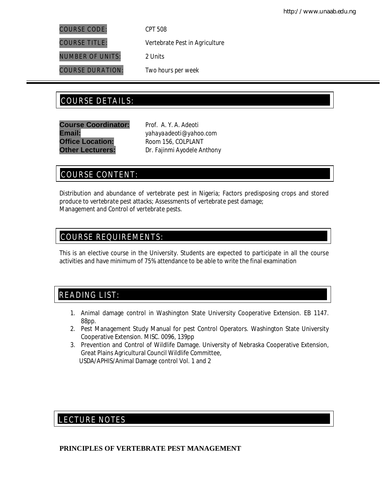COURSE CODE: *CPT 508*

NUMBER OF UNITS: *2 Units*

COURSE TITLE: *Vertebrate Pest in Agriculture*

COURSE DURATION: *Two hours per week*

# COURSE DETAILS: COURSE DETAILS:

**Course Coordinator:** *Prof. A. Y. A. Adeoti* **Office Location:** *Room 156, COLPLANT*

**Email:** *yahayaadeoti@yahoo.com* **Other Lecturers:** *Dr. Fajinmi Ayodele Anthony*

# COURSE CONTENT:

Distribution and abundance of vertebrate pest in Nigeria; Factors predisposing crops and stored produce to vertebrate pest attacks; Assessments of vertebrate pest damage; Management and Control of vertebrate pests.

# COURSE REQUIREMENTS:

This is an elective course in the University. Students are expected to participate in all the course activities and have minimum of 75% attendance to be able to write the final examination

# READING LIST:

- 1. Animal damage control in Washington State University Cooperative Extension. EB 1147. 88pp.
- 2. Pest Management Study Manual for pest Control Operators. Washington State University Cooperative Extension. MISC. 0096, 139pp
- 3. Prevention and Control of Wildlife Damage. University of Nebraska Cooperative Extension, Great Plains Agricultural Council Wildlife Committee, USDA/APHIS/Animal Damage control Vol. 1 and 2

# LECTURE NOTES

**PRINCIPLES OF VERTEBRATE PEST MANAGEMENT**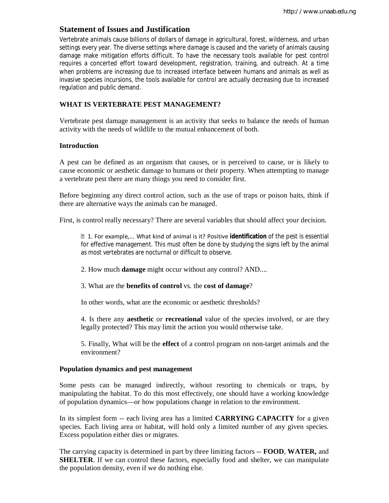# **Statement of Issues and Justification**

Vertebrate animals cause billions of dollars of damage in agricultural, forest, wilderness, and urban settings every year. The diverse settings where damage is caused and the variety of animals causing damage make mitigation efforts difficult. To have the necessary tools available for pest control requires a concerted effort toward development, registration, training, and outreach. At a time when problems are increasing due to increased interface between humans and animals as well as invasive species incursions, the tools available for control are actually decreasing due to increased regulation and public demand.

# **WHAT IS VERTEBRATE PEST MANAGEMENT?**

Vertebrate pest damage management is an activity that seeks to balance the needs of human activity with the needs of wildlife to the mutual enhancement of both.

## **Introduction**

A pest can be defined as an organism that causes, or is perceived to cause, or is likely to cause economic or aesthetic damage to humans or their property. When attempting to manage a vertebrate pest there are many things you need to consider first.

Before beginning any direct control action, such as the use of traps or poison baits, think if there are alternative ways the animals can be managed.

First, is control really necessary? There are several variables that should affect your decision.

 1. For example,... What kind of animal is it? Positive **identification** of the pest is essential for effective management. This must often be done by studying the signs left by the animal as most vertebrates are nocturnal or difficult to observe.

2. How much **damage** might occur without any control? AND....

3. What are the **benefits of control** vs. the **cost of damage**?

In other words, what are the economic or aesthetic thresholds?

4. Is there any **aesthetic** or **recreational** value of the species involved, or are they legally protected? This may limit the action you would otherwise take.

5. Finally, What will be the **effect** of a control program on non-target animals and the environment?

#### **Population dynamics and pest management**

Some pests can be managed indirectly, without resorting to chemicals or traps, by manipulating the habitat. To do this most effectively, one should have a working knowledge of population dynamics—or how populations change in relation to the environment.

In its simplest form -- each living area has a limited **CARRYING CAPACITY** for a given species. Each living area or habitat, will hold only a limited number of any given species. Excess population either dies or migrates.

The carrying capacity is determined in part by three limiting factors -- **FOOD**, **WATER,** and **SHELTER**. If we can control these factors, especially food and shelter, we can manipulate the population density, even if we do nothing else.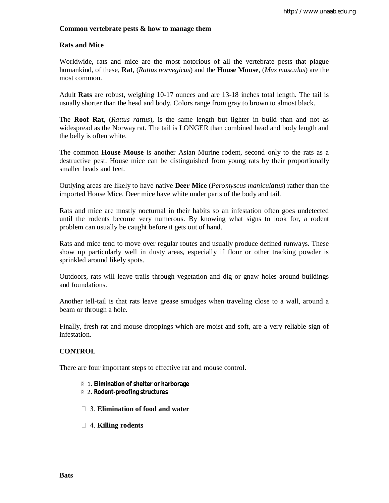#### **Common vertebrate pests & how to manage them**

## **Rats and Mice**

Worldwide, rats and mice are the most notorious of all the vertebrate pests that plague humankind, of these, **Rat**, (*Rattus norvegicus*) and the **House Mouse**, (*Mus musculus*) are the most common.

Adult **Rats** are robust, weighing 10-17 ounces and are 13-18 inches total length. The tail is usually shorter than the head and body. Colors range from gray to brown to almost black.

The **Roof Rat**, (*Rattus rattus*), is the same length but lighter in build than and not as widespread as the Norway rat. The tail is LONGER than combined head and body length and the belly is often white.

The common **House Mouse** is another Asian Murine rodent, second only to the rats as a destructive pest. House mice can be distinguished from young rats by their proportionally smaller heads and feet.

Outlying areas are likely to have native **Deer Mice** (*Peromyscus maniculatus*) rather than the imported House Mice. Deer mice have white under parts of the body and tail.

Rats and mice are mostly nocturnal in their habits so an infestation often goes undetected until the rodents become very numerous. By knowing what signs to look for, a rodent problem can usually be caught before it gets out of hand.

Rats and mice tend to move over regular routes and usually produce defined runways. These show up particularly well in dusty areas, especially if flour or other tracking powder is sprinkled around likely spots.

Outdoors, rats will leave trails through vegetation and dig or gnaw holes around buildings and foundations.

Another tell-tail is that rats leave grease smudges when traveling close to a wall, around a beam or through a hole.

Finally, fresh rat and mouse droppings which are moist and soft, are a very reliable sign of infestation.

# **CONTROL**

There are four important steps to effective rat and mouse control.

- 1. **Elimination of shelter or harborage**
- 2. **Rodent-proofing structures**
- 3. **Elimination of food and water**
- 4. **Killing rodents**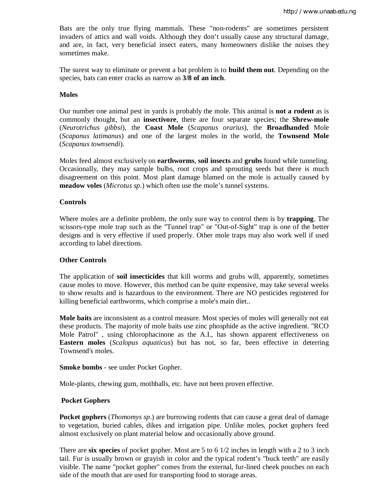Bats are the only true flying mammals. These "non-rodents" are sometimes persistent invaders of attics and wall voids. Although they don't usually cause any structural damage, and are, in fact, very beneficial insect eaters, many homeowners dislike the noises they sometimes make.

The surest way to eliminate or prevent a bat problem is to **build them out**. Depending on the species, bats can enter cracks as narrow as **3/8 of an inch**.

#### **Moles**

Our number one animal pest in yards is probably the mole. This animal is **not a rodent** as is commonly thought, but an **insectivore**, there are four separate species; the **Shrew-mole** (*Neurotrichus gibbsi*), the **Coast Mole** (*Scapanus orarius*), the **Broadhanded** Mole (*Scapanus latimanus*) and one of the largest moles in the world, the **Townsend Mole** (*Scapanus townsendi*).

Moles feed almost exclusively on **earthworms**, **soil insects** and **grubs** found while tunneling. Occasionally, they may sample bulbs, root crops and sprouting seeds but there is much disagreement on this point. Most plant damage blamed on the mole is actually caused by **meadow voles** (*Microtus sp*.) which often use the mole's tunnel systems.

#### **Controls**

Where moles are a definite problem, the only sure way to control them is by **trapping**. The scissors-type mole trap such as the "Tunnel trap" or "Out-of-Sight" trap is one of the better designs and is very effective if used properly. Other mole traps may also work well if used according to label directions.

#### **Other Controls**

The application of **soil insecticides** that kill worms and grubs will, apparently, sometimes cause moles to move. However, this method can be quite expensive, may take several weeks to show results and is hazardous to the environment. There are NO pesticides registered for killing beneficial earthworms, which comprise a mole's main diet..

**Mole baits** are inconsistent as a control measure. Most species of moles will generally not eat these products. The majority of mole baits use zinc phosphide as the active ingredient. "RCO Mole Patrol" , using chlorophacinone as the A.I., has shown apparent effectiveness on **Eastern moles** (*Scalopus aquaticus*) but has not, so far, been effective in deterring Townsend's moles.

**Smoke bombs** - see under Pocket Gopher.

Mole-plants, chewing gum, mothballs, etc. have not been proven effective.

#### **Pocket Gophers**

**Pocket gophers** (*Thomomys sp*.) are burrowing rodents that can cause a great deal of damage to vegetation, buried cables, dikes and irrigation pipe. Unlike moles, pocket gophers feed almost exclusively on plant material below and occasionally above ground.

There are **six species** of pocket gopher. Most are 5 to 6 1/2 inches in length with a 2 to 3 inch tail. Fur is usually brown or grayish in color and the typical rodent's "buck teeth" are easily visible. The name "pocket gopher" comes from the external, fur-lined cheek pouches on each side of the mouth that are used for transporting food to storage areas.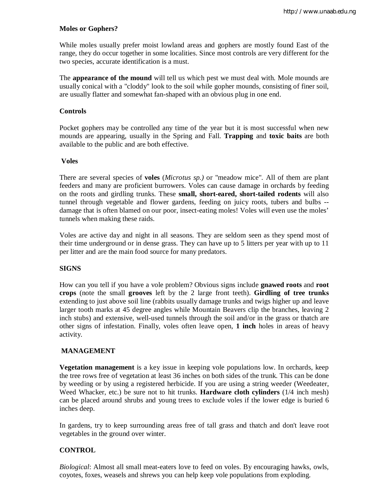# **Moles or Gophers?**

While moles usually prefer moist lowland areas and gophers are mostly found East of the range, they do occur together in some localities. Since most controls are very different for the two species, accurate identification is a must.

The **appearance of the mound** will tell us which pest we must deal with. Mole mounds are usually conical with a "cloddy" look to the soil while gopher mounds, consisting of finer soil, are usually flatter and somewhat fan-shaped with an obvious plug in one end.

# **Controls**

Pocket gophers may be controlled any time of the year but it is most successful when new mounds are appearing, usually in the Spring and Fall. **Trapping** and **toxic baits** are both available to the public and are both effective.

# **Voles**

There are several species of **voles** (*Microtus sp.)* or "meadow mice". All of them are plant feeders and many are proficient burrowers. Voles can cause damage in orchards by feeding on the roots and girdling trunks. These **small, short-eared, short-tailed rodents** will also tunnel through vegetable and flower gardens, feeding on juicy roots, tubers and bulbs - damage that is often blamed on our poor, insect-eating moles! Voles will even use the moles' tunnels when making these raids.

Voles are active day and night in all seasons. They are seldom seen as they spend most of their time underground or in dense grass. They can have up to 5 litters per year with up to 11 per litter and are the main food source for many predators.

# **SIGNS**

How can you tell if you have a vole problem? Obvious signs include **gnawed roots** and **root crops** (note the small **grooves** left by the 2 large front teeth). **Girdling of tree trunks**  extending to just above soil line (rabbits usually damage trunks and twigs higher up and leave larger tooth marks at 45 degree angles while Mountain Beavers clip the branches, leaving 2 inch stubs) and extensive, well-used tunnels through the soil and/or in the grass or thatch are other signs of infestation. Finally, voles often leave open, **1 inch** holes in areas of heavy activity.

# **MANAGEMENT**

**Vegetation management** is a key issue in keeping vole populations low. In orchards, keep the tree rows free of vegetation at least 36 inches on both sides of the trunk. This can be done by weeding or by using a registered herbicide. If you are using a string weeder (Weedeater, Weed Whacker, etc.) be sure not to hit trunks. **Hardware cloth cylinders** (1/4 inch mesh) can be placed around shrubs and young trees to exclude voles if the lower edge is buried 6 inches deep.

In gardens, try to keep surrounding areas free of tall grass and thatch and don't leave root vegetables in the ground over winter.

# **CONTROL**

*Biological*: Almost all small meat-eaters love to feed on voles. By encouraging hawks, owls, coyotes, foxes, weasels and shrews you can help keep vole populations from exploding.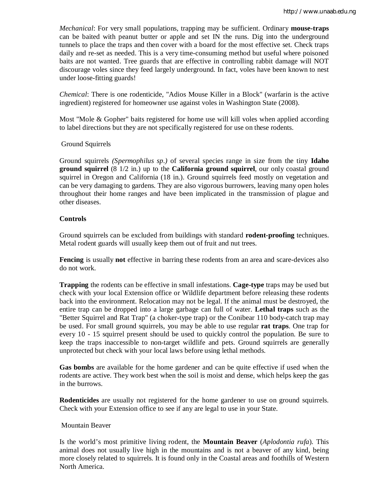*Mechanical*: For very small populations, trapping may be sufficient. Ordinary **mouse-traps**  can be baited with peanut butter or apple and set IN the runs. Dig into the underground tunnels to place the traps and then cover with a board for the most effective set. Check traps daily and re-set as needed. This is a very time-consuming method but useful where poisoned baits are not wanted. Tree guards that are effective in controlling rabbit damage will NOT discourage voles since they feed largely underground. In fact, voles have been known to nest under loose-fitting guards!

*Chemical*: There is one rodenticide, "Adios Mouse Killer in a Block" (warfarin is the active ingredient) registered for homeowner use against voles in Washington State (2008).

Most "Mole & Gopher" baits registered for home use will kill voles when applied according to label directions but they are not specifically registered for use on these rodents.

#### Ground Squirrels

Ground squirrels *(Spermophilus sp.)* of several species range in size from the tiny **Idaho ground squirrel** (8 1/2 in.) up to the **California ground squirrel**, our only coastal ground squirrel in Oregon and California (18 in.). Ground squirrels feed mostly on vegetation and can be very damaging to gardens. They are also vigorous burrowers, leaving many open holes throughout their home ranges and have been implicated in the transmission of plague and other diseases.

## **Controls**

Ground squirrels can be excluded from buildings with standard **rodent-proofing** techniques. Metal rodent guards will usually keep them out of fruit and nut trees.

**Fencing** is usually **not** effective in barring these rodents from an area and scare-devices also do not work.

**Trapping** the rodents can be effective in small infestations. **Cage-type** traps may be used but check with your local Extension office or Wildlife department before releasing these rodents back into the environment. Relocation may not be legal. If the animal must be destroyed, the entire trap can be dropped into a large garbage can full of water. **Lethal traps** such as the "Better Squirrel and Rat Trap" (a choker-type trap) or the Conibear 110 body-catch trap may be used. For small ground squirrels, you may be able to use regular **rat traps**. One trap for every 10 - 15 squirrel present should be used to quickly control the population. Be sure to keep the traps inaccessible to non-target wildlife and pets. Ground squirrels are generally unprotected but check with your local laws before using lethal methods.

**Gas bombs** are available for the home gardener and can be quite effective if used when the rodents are active. They work best when the soil is moist and dense, which helps keep the gas in the burrows.

**Rodenticides** are usually not registered for the home gardener to use on ground squirrels. Check with your Extension office to see if any are legal to use in your State.

#### Mountain Beaver

Is the world's most primitive living rodent, the **Mountain Beaver** (*Aplodontia rufa*). This animal does not usually live high in the mountains and is not a beaver of any kind, being more closely related to squirrels. It is found only in the Coastal areas and foothills of Western North America.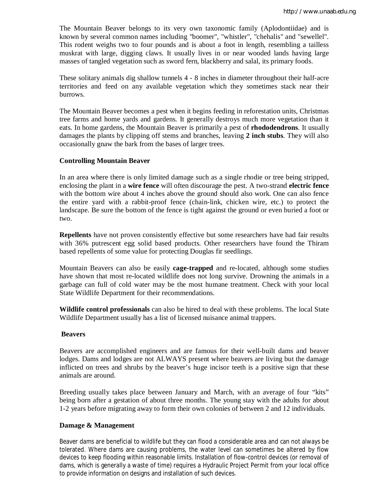The Mountain Beaver belongs to its very own taxonomic family (Aplodontiidae) and is known by several common names including "boomer", "whistler", "chehalis" and "sewellel". This rodent weighs two to four pounds and is about a foot in length, resembling a tailless muskrat with large, digging claws. It usually lives in or near wooded lands having large masses of tangled vegetation such as sword fern, blackberry and salal, its primary foods.

These solitary animals dig shallow tunnels 4 - 8 inches in diameter throughout their half-acre territories and feed on any available vegetation which they sometimes stack near their burrows.

The Mountain Beaver becomes a pest when it begins feeding in reforestation units, Christmas tree farms and home yards and gardens. It generally destroys much more vegetation than it eats. In home gardens, the Mountain Beaver is primarily a pest of **rhododendrons**. It usually damages the plants by clipping off stems and branches, leaving **2 inch stubs**. They will also occasionally gnaw the bark from the bases of larger trees.

## **Controlling Mountain Beaver**

In an area where there is only limited damage such as a single rhodie or tree being stripped, enclosing the plant in a **wire fence** will often discourage the pest. A two-strand **electric fence** with the bottom wire about 4 inches above the ground should also work. One can also fence the entire yard with a rabbit-proof fence (chain-link, chicken wire, etc.) to protect the landscape. Be sure the bottom of the fence is tight against the ground or even buried a foot or two.

**Repellents** have not proven consistently effective but some researchers have had fair results with 36% putrescent egg solid based products. Other researchers have found the Thiram based repellents of some value for protecting Douglas fir seedlings.

Mountain Beavers can also be easily **cage-trapped** and re-located, although some studies have shown that most re-located wildlife does not long survive. Drowning the animals in a garbage can full of cold water may be the most humane treatment. Check with your local State Wildlife Department for their recommendations.

**Wildlife control professionals** can also be hired to deal with these problems. The local State Wildlife Department usually has a list of licensed nuisance animal trappers.

#### **Beavers**

Beavers are accomplished engineers and are famous for their well-built dams and beaver lodges. Dams and lodges are not ALWAYS present where beavers are living but the damage inflicted on trees and shrubs by the beaver's huge incisor teeth is a positive sign that these animals are around.

Breeding usually takes place between January and March, with an average of four "kits" being born after a gestation of about three months. The young stay with the adults for about 1-2 years before migrating away to form their own colonies of between 2 and 12 individuals.

#### **Damage & Management**

Beaver dams are beneficial to wildlife but they can flood a considerable area and can not always be tolerated. Where dams are causing problems, the water level can sometimes be altered by flow devices to keep flooding within reasonable limits. Installation of flow-control devices (or removal of dams, which is generally a waste of time) requires a Hydraulic Project Permit from your local office to provide information on designs and installation of such devices.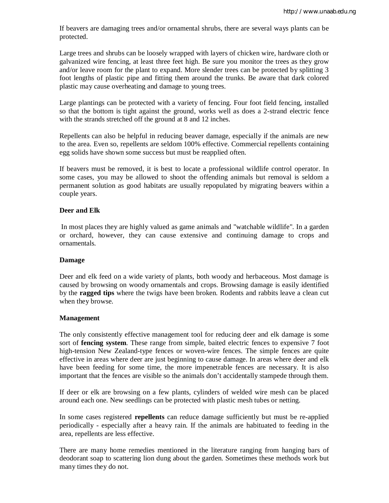If beavers are damaging trees and/or ornamental shrubs, there are several ways plants can be protected.

Large trees and shrubs can be loosely wrapped with layers of chicken wire, hardware cloth or galvanized wire fencing, at least three feet high. Be sure you monitor the trees as they grow and/or leave room for the plant to expand. More slender trees can be protected by splitting 3 foot lengths of plastic pipe and fitting them around the trunks. Be aware that dark colored plastic may cause overheating and damage to young trees.

Large plantings can be protected with a variety of fencing. Four foot field fencing, installed so that the bottom is tight against the ground, works well as does a 2-strand electric fence with the strands stretched off the ground at 8 and 12 inches.

Repellents can also be helpful in reducing beaver damage, especially if the animals are new to the area. Even so, repellents are seldom 100% effective. Commercial repellents containing egg solids have shown some success but must be reapplied often.

If beavers must be removed, it is best to locate a professional wildlife control operator. In some cases, you may be allowed to shoot the offending animals but removal is seldom a permanent solution as good habitats are usually repopulated by migrating beavers within a couple years.

#### **Deer and Elk**

In most places they are highly valued as game animals and "watchable wildlife". In a garden or orchard, however, they can cause extensive and continuing damage to crops and ornamentals.

#### **Damage**

Deer and elk feed on a wide variety of plants, both woody and herbaceous. Most damage is caused by browsing on woody ornamentals and crops. Browsing damage is easily identified by the **ragged tips** where the twigs have been broken. Rodents and rabbits leave a clean cut when they browse.

#### **Management**

The only consistently effective management tool for reducing deer and elk damage is some sort of **fencing system**. These range from simple, baited electric fences to expensive 7 foot high-tension New Zealand-type fences or woven-wire fences. The simple fences are quite effective in areas where deer are just beginning to cause damage. In areas where deer and elk have been feeding for some time, the more impenetrable fences are necessary. It is also important that the fences are visible so the animals don't accidentally stampede through them.

If deer or elk are browsing on a few plants, cylinders of welded wire mesh can be placed around each one. New seedlings can be protected with plastic mesh tubes or netting.

In some cases registered **repellents** can reduce damage sufficiently but must be re-applied periodically - especially after a heavy rain. If the animals are habituated to feeding in the area, repellents are less effective.

There are many home remedies mentioned in the literature ranging from hanging bars of deodorant soap to scattering lion dung about the garden. Sometimes these methods work but many times they do not.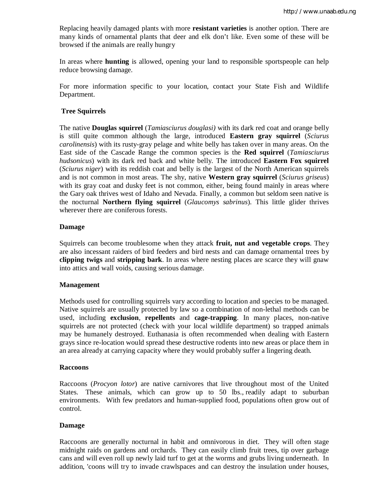Replacing heavily damaged plants with more **resistant varieties** is another option. There are many kinds of ornamental plants that deer and elk don't like. Even some of these will be browsed if the animals are really hungry

In areas where **hunting** is allowed, opening your land to responsible sportspeople can help reduce browsing damage.

For more information specific to your location, contact your State Fish and Wildlife Department.

## **Tree Squirrels**

The native **Douglas squirrel** (*Tamiasciurus douglasi)* with its dark red coat and orange belly is still quite common although the large, introduced **Eastern gray squirrel** (*Sciurus carolinensis*) with its rusty-gray pelage and white belly has taken over in many areas. On the East side of the Cascade Range the common species is the **Red squirrel** (*Tamiasciurus hudsonicus*) with its dark red back and white belly. The introduced **Eastern Fox squirrel** (*Sciurus niger*) with its reddish coat and belly is the largest of the North American squirrels and is not common in most areas. The shy, native **Western gray squirrel** (*Sciurus griseus*) with its gray coat and dusky feet is not common, either, being found mainly in areas where the Gary oak thrives west of Idaho and Nevada. Finally, a common but seldom seen native is the nocturnal **Northern flying squirrel** (*Glaucomys sabrinus*). This little glider thrives wherever there are coniferous forests.

## **Damage**

Squirrels can become troublesome when they attack **fruit, nut and vegetable crops**. They are also incessant raiders of bird feeders and bird nests and can damage ornamental trees by **clipping twigs** and **stripping bark**. In areas where nesting places are scarce they will gnaw into attics and wall voids, causing serious damage.

#### **Management**

Methods used for controlling squirrels vary according to location and species to be managed. Native squirrels are usually protected by law so a combination of non-lethal methods can be used, including **exclusion**, **repellents** and **cage-trapping**. In many places, non-native squirrels are not protected (check with your local wildlife department) so trapped animals may be humanely destroyed. Euthanasia is often recommended when dealing with Eastern grays since re-location would spread these destructive rodents into new areas or place them in an area already at carrying capacity where they would probably suffer a lingering death.

#### **Raccoons**

Raccoons (*Procyon lotor*) are native carnivores that live throughout most of the United States. These animals, which can grow up to 50 lbs., readily adapt to suburban environments. With few predators and human-supplied food, populations often grow out of control.

#### **Damage**

Raccoons are generally nocturnal in habit and omnivorous in diet. They will often stage midnight raids on gardens and orchards. They can easily climb fruit trees, tip over garbage cans and will even roll up newly laid turf to get at the worms and grubs living underneath. In addition, 'coons will try to invade crawlspaces and can destroy the insulation under houses,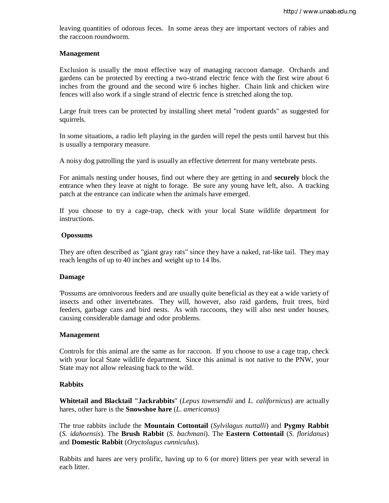leaving quantities of odorous feces. In some areas they are important vectors of rabies and the raccoon roundworm.

#### **Management**

Exclusion is usually the most effective way of managing raccoon damage. Orchards and gardens can be protected by erecting a two-strand electric fence with the first wire about 6 inches from the ground and the second wire 6 inches higher. Chain link and chicken wire fences will also work if a single strand of electric fence is stretched along the top.

Large fruit trees can be protected by installing sheet metal "rodent guards" as suggested for squirrels.

In some situations, a radio left playing in the garden will repel the pests until harvest but this is usually a temporary measure.

A noisy dog patrolling the yard is usually an effective deterrent for many vertebrate pests.

For animals nesting under houses, find out where they are getting in and **securely** block the entrance when they leave at night to forage. Be sure any young have left, also. A tracking patch at the entrance can indicate when the animals have emerged.

If you choose to try a cage-trap, check with your local State wildlife department for instructions.

#### **Opossums**

They are often described as "giant gray rats" since they have a naked, rat-like tail. They may reach lengths of up to 40 inches and weight up to 14 lbs.

#### **Damage**

'Possums are omnivorous feeders and are usually quite beneficial as they eat a wide variety of insects and other invertebrates. They will, however, also raid gardens, fruit trees, bird feeders, garbage cans and bird nests. As with raccoons, they will also nest under houses, causing considerable damage and odor problems.

#### **Management**

Controls for this animal are the same as for raccoon. If you choose to use a cage trap, check with your local State wildlife department. Since this animal is not native to the PNW, your State may not allow releasing back to the wild.

#### **Rabbits**

**Whitetail and Blacktail "Jackrabbits**" (*Lepus townsendii* and *L. californicus*) are actually hares, other hare is the **Snowshoe hare** (*L. americanus*)

The true rabbits include the **Mountain Cottontail** (*Sylvilagus nuttalli*) and **Pygmy Rabbit** (*S. idahoensis*). The **Brush Rabbit** (*S. bachmani*). The **Eastern Cottontail** (*S. floridanus*) and **Domestic Rabbit** (*Oryctolagus cunniculus*).

Rabbits and hares are very prolific, having up to 6 (or more) litters per year with several in each litter.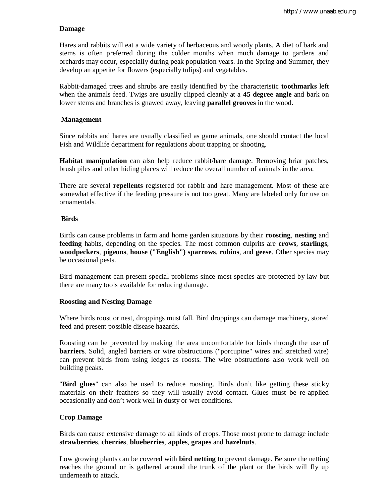# **Damage**

Hares and rabbits will eat a wide variety of herbaceous and woody plants. A diet of bark and stems is often preferred during the colder months when much damage to gardens and orchards may occur, especially during peak population years. In the Spring and Summer, they develop an appetite for flowers (especially tulips) and vegetables.

Rabbit-damaged trees and shrubs are easily identified by the characteristic **toothmarks** left when the animals feed. Twigs are usually clipped cleanly at a **45 degree angle** and bark on lower stems and branches is gnawed away, leaving **parallel grooves** in the wood.

# **Management**

Since rabbits and hares are usually classified as game animals, one should contact the local Fish and Wildlife department for regulations about trapping or shooting.

**Habitat manipulation** can also help reduce rabbit/hare damage. Removing briar patches, brush piles and other hiding places will reduce the overall number of animals in the area.

There are several **repellents** registered for rabbit and hare management. Most of these are somewhat effective if the feeding pressure is not too great. Many are labeled only for use on ornamentals.

## **Birds**

Birds can cause problems in farm and home garden situations by their **roosting**, **nesting** and **feeding** habits, depending on the species. The most common culprits are **crows**, **starlings**, **woodpeckers**, **pigeons**, **house ("English") sparrows**, **robins**, and **geese**. Other species may be occasional pests.

Bird management can present special problems since most species are protected by law but there are many tools available for reducing damage.

# **Roosting and Nesting Damage**

Where birds roost or nest, droppings must fall. Bird droppings can damage machinery, stored feed and present possible disease hazards.

Roosting can be prevented by making the area uncomfortable for birds through the use of **barriers**. Solid, angled barriers or wire obstructions ("porcupine" wires and stretched wire) can prevent birds from using ledges as roosts. The wire obstructions also work well on building peaks.

"**Bird glues**" can also be used to reduce roosting. Birds don't like getting these sticky materials on their feathers so they will usually avoid contact. Glues must be re-applied occasionally and don't work well in dusty or wet conditions.

# **Crop Damage**

Birds can cause extensive damage to all kinds of crops. Those most prone to damage include **strawberries**, **cherries**, **blueberries**, **apples**, **grapes** and **hazelnuts**.

Low growing plants can be covered with **bird netting** to prevent damage. Be sure the netting reaches the ground or is gathered around the trunk of the plant or the birds will fly up underneath to attack.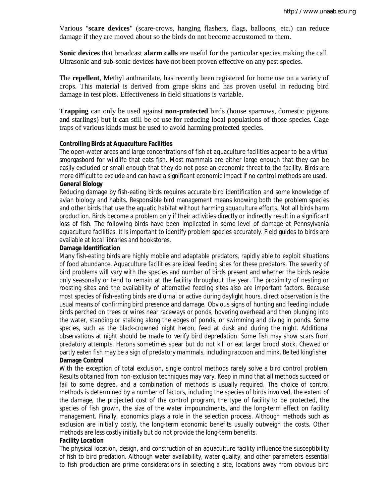Various "**scare devices**" (scare-crows, hanging flashers, flags, balloons, etc.) can reduce damage if they are moved about so the birds do not become accustomed to them.

**Sonic devices** that broadcast **alarm calls** are useful for the particular species making the call. Ultrasonic and sub-sonic devices have not been proven effective on any pest species.

The **repellent**, Methyl anthranilate, has recently been registered for home use on a variety of crops. This material is derived from grape skins and has proven useful in reducing bird damage in test plots. Effectiveness in field situations is variable.

**Trapping** can only be used against **non-protected** birds (house sparrows, domestic pigeons and starlings) but it can still be of use for reducing local populations of those species. Cage traps of various kinds must be used to avoid harming protected species.

#### **Controlling Birds at Aquaculture Facilities**

The open-water areas and large concentrations of fish at aquaculture facilities appear to be a virtual smorgasbord for wildlife that eats fish. Most mammals are either large enough that they can be easily excluded or small enough that they do not pose an economic threat to the facility. Birds are more difficult to exclude and can have a significant economic impact if no control methods are used. **General Biology**

Reducing damage by fish-eating birds requires accurate bird identification and some knowledge of avian biology and habits. Responsible bird management means knowing both the problem species and other birds that use the aquatic habitat without harming aquaculture efforts. Not all birds harm production. Birds become a problem only if their activities directly or indirectly result in a significant loss of fish. The following birds have been implicated in some level of damage at Pennsylvania aquaculture facilities. It is important to identify problem species accurately. Field guides to birds are available at local libraries and bookstores.

#### **Damage Identification**

Many fish-eating birds are highly mobile and adaptable predators, rapidly able to exploit situations of food abundance. Aquaculture facilities are ideal feeding sites for these predators. The severity of bird problems will vary with the species and number of birds present and whether the birds reside only seasonally or tend to remain at the facility throughout the year. The proximity of nesting or roosting sites and the availability of alternative feeding sites also are important factors. Because most species of fish-eating birds are diurnal or active during daylight hours, direct observation is the usual means of confirming bird presence and damage. Obvious signs of hunting and feeding include birds perched on trees or wires near raceways or ponds, hovering overhead and then plunging into the water, standing or stalking along the edges of ponds, or swimming and diving in ponds. Some species, such as the black-crowned night heron, feed at dusk and during the night. Additional observations at night should be made to verify bird depredation. Some fish may show scars from predatory attempts. Herons sometimes spear but do not kill or eat larger brood stock. Chewed or partly eaten fish may be a sign of predatory mammals, including raccoon and mink. *Belted kingfisher* **Damage Control**

With the exception of total exclusion, single control methods rarely solve a bird control problem. Results obtained from non-exclusion techniques may vary. Keep in mind that all methods succeed or fail to some degree, and a combination of methods is usually required. The choice of control methods is determined by a number of factors, including the species of birds involved, the extent of the damage, the projected cost of the control program, the type of facility to be protected, the species of fish grown, the size of the water impoundments, and the long-term effect on facility management. Finally, economics plays a role in the selection process. Although methods such as exclusion are initially costly, the long-term economic benefits usually outweigh the costs. Other methods are less costly initially but do not provide the long-term benefits.

#### *Facility Location*

The physical location, design, and construction of an aquaculture facility influence the susceptibility of fish to bird predation. Although water availability, water quality, and other parameters essential to fish production are prime considerations in selecting a site, locations away from obvious bird